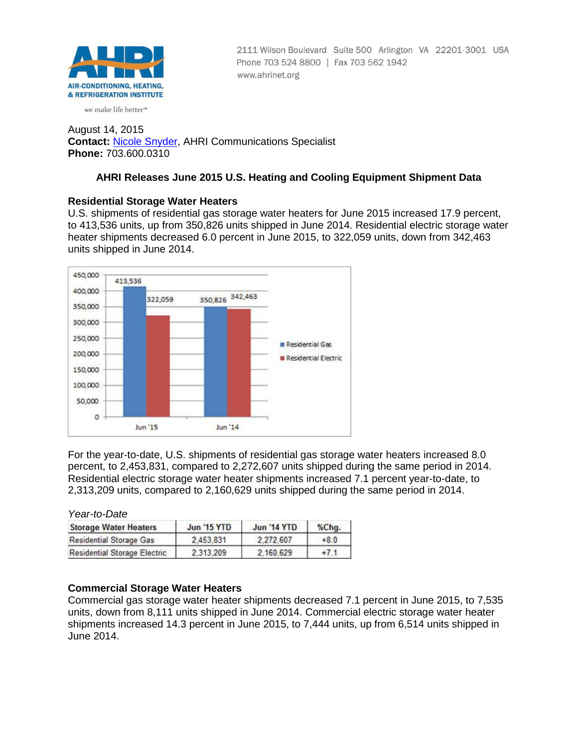

2111 Wilson Boulevard Suite 500 Arlington VA 22201-3001 USA Phone 703 524 8800 | Fax 703 562 1942 www.ahrinet.org

#### we make life better<sup>™</sup>

August 14, 2015 **Contact:** [Nicole Snyder,](mailto:nsnyder@ahrinet.org) AHRI Communications Specialist **Phone:** 703.600.0310

# **AHRI Releases June 2015 U.S. Heating and Cooling Equipment Shipment Data**

# **Residential Storage Water Heaters**

U.S. shipments of residential gas storage water heaters for June 2015 increased 17.9 percent, to 413,536 units, up from 350,826 units shipped in June 2014. Residential electric storage water heater shipments decreased 6.0 percent in June 2015, to 322,059 units, down from 342,463 units shipped in June 2014.



For the year-to-date, U.S. shipments of residential gas storage water heaters increased 8.0 percent, to 2,453,831, compared to 2,272,607 units shipped during the same period in 2014. Residential electric storage water heater shipments increased 7.1 percent year-to-date, to 2,313,209 units, compared to 2,160,629 units shipped during the same period in 2014.

*Year-to-Date*

| <b>Storage Water Heaters</b>        | <b>Jun '15 YTD</b> | <b>Jun '14 YTD</b> | $%$ Chg. |  |
|-------------------------------------|--------------------|--------------------|----------|--|
| <b>Residential Storage Gas</b>      | 2.453.831          | 2.272.607          | $+8.0$   |  |
| <b>Residential Storage Electric</b> | 2.313.209          | 2.160.629          | $+7.1$   |  |

### **Commercial Storage Water Heaters**

Commercial gas storage water heater shipments decreased 7.1 percent in June 2015, to 7,535 units, down from 8,111 units shipped in June 2014. Commercial electric storage water heater shipments increased 14.3 percent in June 2015, to 7,444 units, up from 6,514 units shipped in June 2014.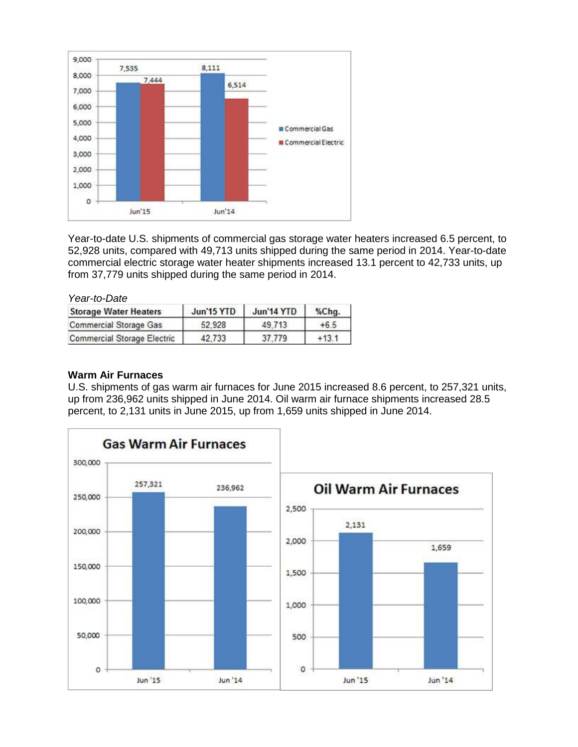

Year-to-date U.S. shipments of commercial gas storage water heaters increased 6.5 percent, to 52,928 units, compared with 49,713 units shipped during the same period in 2014. Year-to-date commercial electric storage water heater shipments increased 13.1 percent to 42,733 units, up from 37,779 units shipped during the same period in 2014.

| Year-to-Date                       |            |                   |         |  |
|------------------------------------|------------|-------------------|---------|--|
| <b>Storage Water Heaters</b>       | Jun'15 YTD | <b>Jun'14 YTD</b> | %Chg.   |  |
| <b>Commercial Storage Gas</b>      | 52.928     | 49.713            | $+6.5$  |  |
| <b>Commercial Storage Electric</b> | 42,733     | 37,779            | $+13.1$ |  |

## **Warm Air Furnaces**

U.S. shipments of gas warm air furnaces for June 2015 increased 8.6 percent, to 257,321 units, up from 236,962 units shipped in June 2014. Oil warm air furnace shipments increased 28.5 percent, to 2,131 units in June 2015, up from 1,659 units shipped in June 2014.

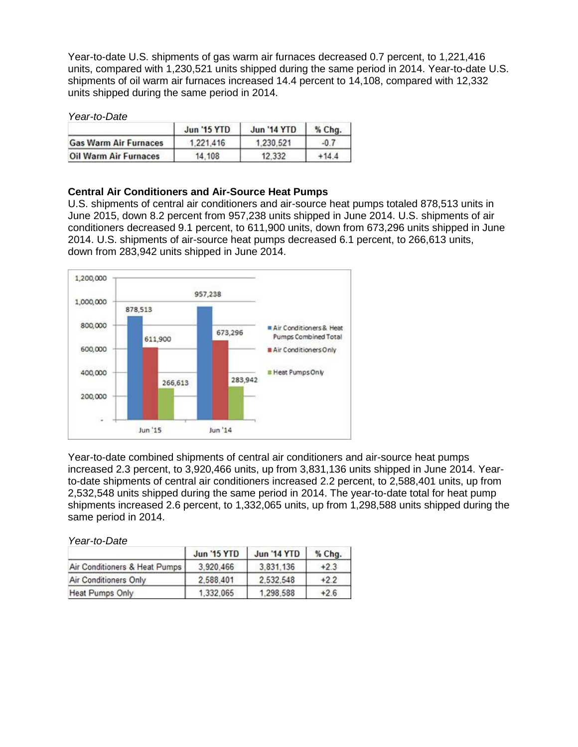Year-to-date U.S. shipments of gas warm air furnaces decreased 0.7 percent, to 1,221,416 units, compared with 1,230,521 units shipped during the same period in 2014. Year-to-date U.S. shipments of oil warm air furnaces increased 14.4 percent to 14,108, compared with 12,332 units shipped during the same period in 2014.

#### *Year-to-Date*

|                              | <b>Jun '15 YTD</b> | <b>Jun '14 YTD</b> | % Chg.  |  |
|------------------------------|--------------------|--------------------|---------|--|
| <b>Gas Warm Air Furnaces</b> | 1,221,416          | 1.230.521          | $-0.7$  |  |
| <b>Oil Warm Air Furnaces</b> | 14,108             | 12.332             | $+14.4$ |  |

### **Central Air Conditioners and Air-Source Heat Pumps**

U.S. shipments of central air conditioners and air-source heat pumps totaled 878,513 units in June 2015, down 8.2 percent from 957,238 units shipped in June 2014. U.S. shipments of air conditioners decreased 9.1 percent, to 611,900 units, down from 673,296 units shipped in June 2014. U.S. shipments of air-source heat pumps decreased 6.1 percent, to 266,613 units, down from 283,942 units shipped in June 2014.



Year-to-date combined shipments of central air conditioners and air-source heat pumps increased 2.3 percent, to 3,920,466 units, up from 3,831,136 units shipped in June 2014. Yearto-date shipments of central air conditioners increased 2.2 percent, to 2,588,401 units, up from 2,532,548 units shipped during the same period in 2014. The year-to-date total for heat pump shipments increased 2.6 percent, to 1,332,065 units, up from 1,298,588 units shipped during the same period in 2014.

*Year-to-Date*

|                               | <b>Jun '15 YTD</b> | <b>Jun '14 YTD</b> | % Chg. |
|-------------------------------|--------------------|--------------------|--------|
| Air Conditioners & Heat Pumps | 3.920.466          | 3.831.136          | $+2.3$ |
| Air Conditioners Only         | 2,588,401          | 2.532.548          | $+2.2$ |
| Heat Pumps Only               | 1.332.065          | 1.298.588          | $+2.6$ |